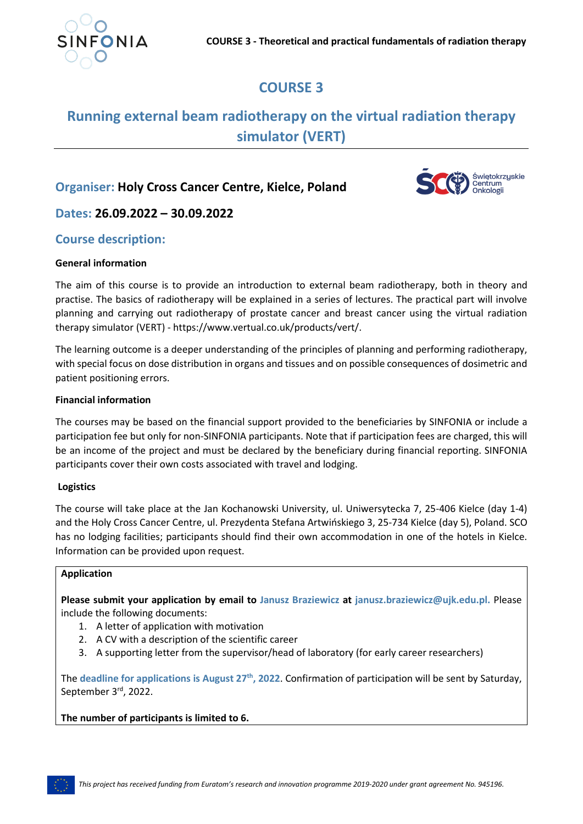

# **COURSE 3**

## **Running external beam radiotherapy on the virtual radiation therapy simulator (VERT)**

## **Organiser: Holy Cross Cancer Centre, Kielce, Poland**



**Dates: 26.09.2022 – 30.09.2022**

## **Course description:**

#### **General information**

The aim of this course is to provide an introduction to external beam radiotherapy, both in theory and practise. The basics of radiotherapy will be explained in a series of lectures. The practical part will involve planning and carrying out radiotherapy of prostate cancer and breast cancer using the virtual radiation therapy simulator (VERT) - https://www.vertual.co.uk/products/vert/.

The learning outcome is a deeper understanding of the principles of planning and performing radiotherapy, with special focus on dose distribution in organs and tissues and on possible consequences of dosimetric and patient positioning errors.

#### **Financial information**

The courses may be based on the financial support provided to the beneficiaries by SINFONIA or include a participation fee but only for non-SINFONIA participants. Note that if participation fees are charged, this will be an income of the project and must be declared by the beneficiary during financial reporting. SINFONIA participants cover their own costs associated with travel and lodging.

### **Logistics**

The course will take place at the Jan Kochanowski University, ul. Uniwersytecka 7, 25-406 Kielce (day 1-4) and the Holy Cross Cancer Centre, ul. Prezydenta Stefana Artwińskiego 3, 25-734 Kielce (day 5), Poland. SCO has no lodging facilities; participants should find their own accommodation in one of the hotels in Kielce. Information can be provided upon request.

#### **Application**

**Please submit your application by email to Janusz Braziewicz at janusz.braziewicz@ujk.edu.pl.** Please include the following documents:

- 1. A letter of application with motivation
- 2. A CV with a description of the scientific career
- 3. A supporting letter from the supervisor/head of laboratory (for early career researchers)

The **deadline for applications is August 27th, 2022**. Confirmation of participation will be sent by Saturday, September 3rd, 2022.

**The number of participants is limited to 6.**